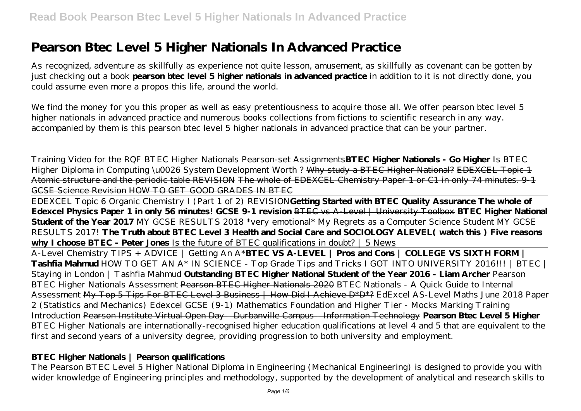# **Pearson Btec Level 5 Higher Nationals In Advanced Practice**

As recognized, adventure as skillfully as experience not quite lesson, amusement, as skillfully as covenant can be gotten by just checking out a book **pearson btec level 5 higher nationals in advanced practice** in addition to it is not directly done, you could assume even more a propos this life, around the world.

We find the money for you this proper as well as easy pretentiousness to acquire those all. We offer pearson btec level 5 higher nationals in advanced practice and numerous books collections from fictions to scientific research in any way. accompanied by them is this pearson btec level 5 higher nationals in advanced practice that can be your partner.

Training Video for the RQF BTEC Higher Nationals Pearson-set Assignments**BTEC Higher Nationals - Go Higher** *Is BTEC Higher Diploma in Computing \u0026 System Development Worth ?* Why study a BTEC Higher National? EDEXCEL Topic 1 Atomic structure and the periodic table REVISION The whole of EDEXCEL Chemistry Paper 1 or C1 in only 74 minutes. 9-1 GCSE Science Revision HOW TO GET GOOD GRADES IN BTEC

EDEXCEL Topic 6 Organic Chemistry I (Part 1 of 2) REVISION**Getting Started with BTEC Quality Assurance The whole of Edexcel Physics Paper 1 in only 56 minutes! GCSE 9-1 revision** BTEC vs A-Level | University Toolbox **BTEC Higher National Student of the Year 2017** MY GCSE RESULTS 2018 \*very emotional\* My Regrets as a Computer Science Student *MY GCSE RESULTS 2017!* **The Truth about BTEC Level 3 Health and Social Care and SOCIOLOGY ALEVEL( watch this ) Five reasons why I choose BTEC - Peter Jones** Is the future of BTEC qualifications in doubt? | 5 News A-Level Chemistry TIPS + ADVICE | Getting An A\***BTEC VS A-LEVEL | Pros and Cons | COLLEGE VS SIXTH FORM | Tashfia Mahmud** HOW TO GET AN A\* IN SCIENCE - Top Grade Tips and Tricks I GOT INTO UNIVERSITY 2016!!! | BTEC | Staying in London | Tashfia Mahmud **Outstanding BTEC Higher National Student of the Year 2016 - Liam Archer** *Pearson BTEC Higher Nationals Assessment* Pearson BTEC Higher Nationals 2020 *BTEC Nationals - A Quick Guide to Internal Assessment* My Top 5 Tips For BTEC Level 3 Business | How Did I Achieve D\*D\*? *EdExcel AS-Level Maths June 2018 Paper 2 (Statistics and Mechanics) Edexcel GCSE (9-1) Mathematics Foundation and Higher Tier - Mocks Marking Training*

*Introduction* Pearson Institute Virtual Open Day - Durbanville Campus - Information Technology **Pearson Btec Level 5 Higher** BTEC Higher Nationals are internationally-recognised higher education qualifications at level 4 and 5 that are equivalent to the first and second years of a university degree, providing progression to both university and employment.

## **BTEC Higher Nationals | Pearson qualifications**

The Pearson BTEC Level 5 Higher National Diploma in Engineering (Mechanical Engineering) is designed to provide you with wider knowledge of Engineering principles and methodology, supported by the development of analytical and research skills to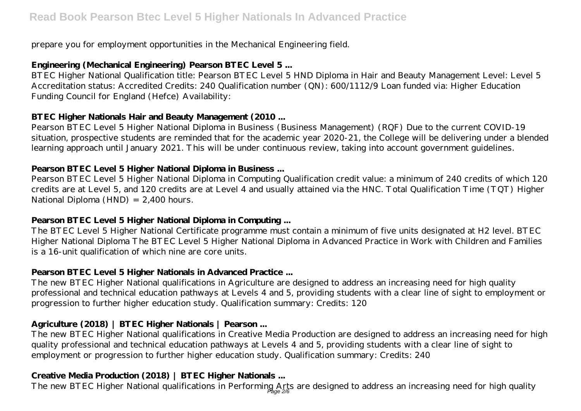prepare you for employment opportunities in the Mechanical Engineering field.

## **Engineering (Mechanical Engineering) Pearson BTEC Level 5 ...**

BTEC Higher National Qualification title: Pearson BTEC Level 5 HND Diploma in Hair and Beauty Management Level: Level 5 Accreditation status: Accredited Credits: 240 Qualification number (QN): 600/1112/9 Loan funded via: Higher Education Funding Council for England (Hefce) Availability:

## **BTEC Higher Nationals Hair and Beauty Management (2010 ...**

Pearson BTEC Level 5 Higher National Diploma in Business (Business Management) (RQF) Due to the current COVID-19 situation, prospective students are reminded that for the academic year 2020-21, the College will be delivering under a blended learning approach until January 2021. This will be under continuous review, taking into account government guidelines.

## **Pearson BTEC Level 5 Higher National Diploma in Business ...**

Pearson BTEC Level 5 Higher National Diploma in Computing Qualification credit value: a minimum of 240 credits of which 120 credits are at Level 5, and 120 credits are at Level 4 and usually attained via the HNC. Total Qualification Time (TQT) Higher National Diploma (HND) = 2,400 hours.

## **Pearson BTEC Level 5 Higher National Diploma in Computing ...**

The BTEC Level 5 Higher National Certificate programme must contain a minimum of five units designated at H2 level. BTEC Higher National Diploma The BTEC Level 5 Higher National Diploma in Advanced Practice in Work with Children and Families is a 16-unit qualification of which nine are core units.

## **Pearson BTEC Level 5 Higher Nationals in Advanced Practice ...**

The new BTEC Higher National qualifications in Agriculture are designed to address an increasing need for high quality professional and technical education pathways at Levels 4 and 5, providing students with a clear line of sight to employment or progression to further higher education study. Qualification summary: Credits: 120

## **Agriculture (2018) | BTEC Higher Nationals | Pearson ...**

The new BTEC Higher National qualifications in Creative Media Production are designed to address an increasing need for high quality professional and technical education pathways at Levels 4 and 5, providing students with a clear line of sight to employment or progression to further higher education study. Qualification summary: Credits: 240

## **Creative Media Production (2018) | BTEC Higher Nationals ...**

The new BTEC Higher National qualifications in Performing Arts are designed to address an increasing need for high quality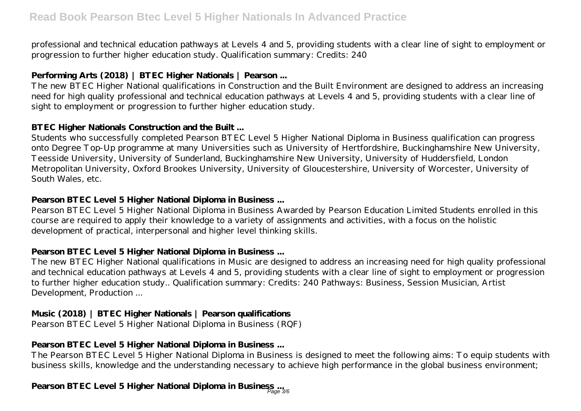professional and technical education pathways at Levels 4 and 5, providing students with a clear line of sight to employment or progression to further higher education study. Qualification summary: Credits: 240

## **Performing Arts (2018) | BTEC Higher Nationals | Pearson ...**

The new BTEC Higher National qualifications in Construction and the Built Environment are designed to address an increasing need for high quality professional and technical education pathways at Levels 4 and 5, providing students with a clear line of sight to employment or progression to further higher education study.

#### **BTEC Higher Nationals Construction and the Built ...**

Students who successfully completed Pearson BTEC Level 5 Higher National Diploma in Business qualification can progress onto Degree Top-Up programme at many Universities such as University of Hertfordshire, Buckinghamshire New University, Teesside University, University of Sunderland, Buckinghamshire New University, University of Huddersfield, London Metropolitan University, Oxford Brookes University, University of Gloucestershire, University of Worcester, University of South Wales, etc.

#### **Pearson BTEC Level 5 Higher National Diploma in Business ...**

Pearson BTEC Level 5 Higher National Diploma in Business Awarded by Pearson Education Limited Students enrolled in this course are required to apply their knowledge to a variety of assignments and activities, with a focus on the holistic development of practical, interpersonal and higher level thinking skills.

## **Pearson BTEC Level 5 Higher National Diploma in Business ...**

The new BTEC Higher National qualifications in Music are designed to address an increasing need for high quality professional and technical education pathways at Levels 4 and 5, providing students with a clear line of sight to employment or progression to further higher education study.. Qualification summary: Credits: 240 Pathways: Business, Session Musician, Artist Development, Production ...

## **Music (2018) | BTEC Higher Nationals | Pearson qualifications**

Pearson BTEC Level 5 Higher National Diploma in Business (RQF)

## **Pearson BTEC Level 5 Higher National Diploma in Business ...**

The Pearson BTEC Level 5 Higher National Diploma in Business is designed to meet the following aims: To equip students with business skills, knowledge and the understanding necessary to achieve high performance in the global business environment;

## **Pearson BTEC Level 5 Higher National Diploma in Business ...** Page 3/6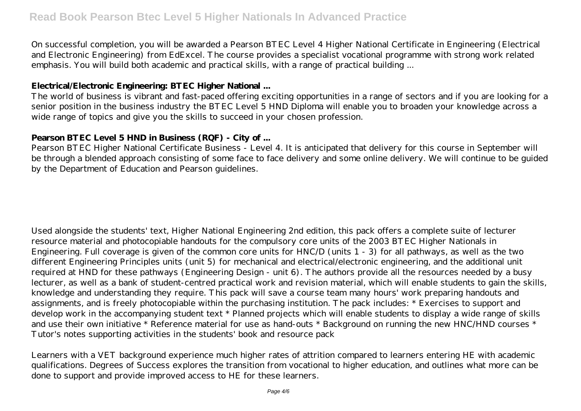On successful completion, you will be awarded a Pearson BTEC Level 4 Higher National Certificate in Engineering (Electrical and Electronic Engineering) from EdExcel. The course provides a specialist vocational programme with strong work related emphasis. You will build both academic and practical skills, with a range of practical building ...

#### **Electrical/Electronic Engineering: BTEC Higher National ...**

The world of business is vibrant and fast-paced offering exciting opportunities in a range of sectors and if you are looking for a senior position in the business industry the BTEC Level 5 HND Diploma will enable you to broaden your knowledge across a wide range of topics and give you the skills to succeed in your chosen profession.

#### **Pearson BTEC Level 5 HND in Business (RQF) - City of ...**

Pearson BTEC Higher National Certificate Business - Level 4. It is anticipated that delivery for this course in September will be through a blended approach consisting of some face to face delivery and some online delivery. We will continue to be guided by the Department of Education and Pearson guidelines.

Used alongside the students' text, Higher National Engineering 2nd edition, this pack offers a complete suite of lecturer resource material and photocopiable handouts for the compulsory core units of the 2003 BTEC Higher Nationals in Engineering. Full coverage is given of the common core units for HNC/D (units 1 - 3) for all pathways, as well as the two different Engineering Principles units (unit 5) for mechanical and electrical/electronic engineering, and the additional unit required at HND for these pathways (Engineering Design - unit 6). The authors provide all the resources needed by a busy lecturer, as well as a bank of student-centred practical work and revision material, which will enable students to gain the skills, knowledge and understanding they require. This pack will save a course team many hours' work preparing handouts and assignments, and is freely photocopiable within the purchasing institution. The pack includes: \* Exercises to support and develop work in the accompanying student text \* Planned projects which will enable students to display a wide range of skills and use their own initiative \* Reference material for use as hand-outs \* Background on running the new HNC/HND courses \* Tutor's notes supporting activities in the students' book and resource pack

Learners with a VET background experience much higher rates of attrition compared to learners entering HE with academic qualifications. Degrees of Success explores the transition from vocational to higher education, and outlines what more can be done to support and provide improved access to HE for these learners.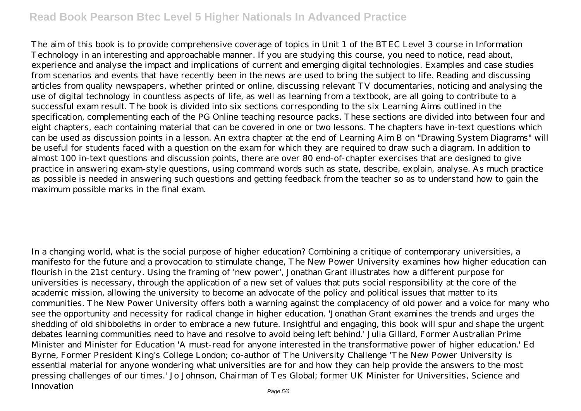## **Read Book Pearson Btec Level 5 Higher Nationals In Advanced Practice**

The aim of this book is to provide comprehensive coverage of topics in Unit 1 of the BTEC Level 3 course in Information Technology in an interesting and approachable manner. If you are studying this course, you need to notice, read about, experience and analyse the impact and implications of current and emerging digital technologies. Examples and case studies from scenarios and events that have recently been in the news are used to bring the subject to life. Reading and discussing articles from quality newspapers, whether printed or online, discussing relevant TV documentaries, noticing and analysing the use of digital technology in countless aspects of life, as well as learning from a textbook, are all going to contribute to a successful exam result. The book is divided into six sections corresponding to the six Learning Aims outlined in the specification, complementing each of the PG Online teaching resource packs. These sections are divided into between four and eight chapters, each containing material that can be covered in one or two lessons. The chapters have in-text questions which can be used as discussion points in a lesson. An extra chapter at the end of Learning Aim B on "Drawing System Diagrams" will be useful for students faced with a question on the exam for which they are required to draw such a diagram. In addition to almost 100 in-text questions and discussion points, there are over 80 end-of-chapter exercises that are designed to give practice in answering exam-style questions, using command words such as state, describe, explain, analyse. As much practice as possible is needed in answering such questions and getting feedback from the teacher so as to understand how to gain the maximum possible marks in the final exam.

In a changing world, what is the social purpose of higher education? Combining a critique of contemporary universities, a manifesto for the future and a provocation to stimulate change, The New Power University examines how higher education can flourish in the 21st century. Using the framing of 'new power', Jonathan Grant illustrates how a different purpose for universities is necessary, through the application of a new set of values that puts social responsibility at the core of the academic mission, allowing the university to become an advocate of the policy and political issues that matter to its communities. The New Power University offers both a warning against the complacency of old power and a voice for many who see the opportunity and necessity for radical change in higher education. 'Jonathan Grant examines the trends and urges the shedding of old shibboleths in order to embrace a new future. Insightful and engaging, this book will spur and shape the urgent debates learning communities need to have and resolve to avoid being left behind.' Julia Gillard, Former Australian Prime Minister and Minister for Education 'A must-read for anyone interested in the transformative power of higher education.' Ed Byrne, Former President King's College London; co-author of The University Challenge 'The New Power University is essential material for anyone wondering what universities are for and how they can help provide the answers to the most pressing challenges of our times.' Jo Johnson, Chairman of Tes Global; former UK Minister for Universities, Science and Innovation